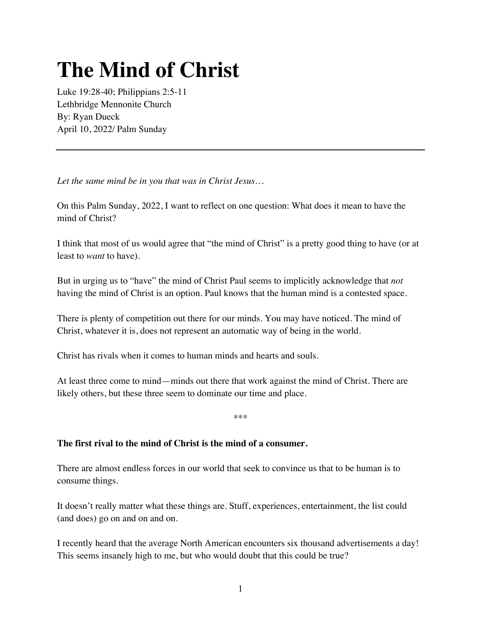# **The Mind of Christ**

Luke 19:28-40; Philippians 2:5-11 Lethbridge Mennonite Church By: Ryan Dueck April 10, 2022/ Palm Sunday

*Let the same mind be in you that was in Christ Jesus…*

On this Palm Sunday, 2022, I want to reflect on one question: What does it mean to have the mind of Christ?

I think that most of us would agree that "the mind of Christ" is a pretty good thing to have (or at least to *want* to have).

But in urging us to "have" the mind of Christ Paul seems to implicitly acknowledge that *not*  having the mind of Christ is an option. Paul knows that the human mind is a contested space.

There is plenty of competition out there for our minds. You may have noticed. The mind of Christ, whatever it is, does not represent an automatic way of being in the world.

Christ has rivals when it comes to human minds and hearts and souls.

At least three come to mind—minds out there that work against the mind of Christ. There are likely others, but these three seem to dominate our time and place.

\*\*\*

## **The first rival to the mind of Christ is the mind of a consumer.**

There are almost endless forces in our world that seek to convince us that to be human is to consume things.

It doesn't really matter what these things are. Stuff, experiences, entertainment, the list could (and does) go on and on and on.

I recently heard that the average North American encounters six thousand advertisements a day! This seems insanely high to me, but who would doubt that this could be true?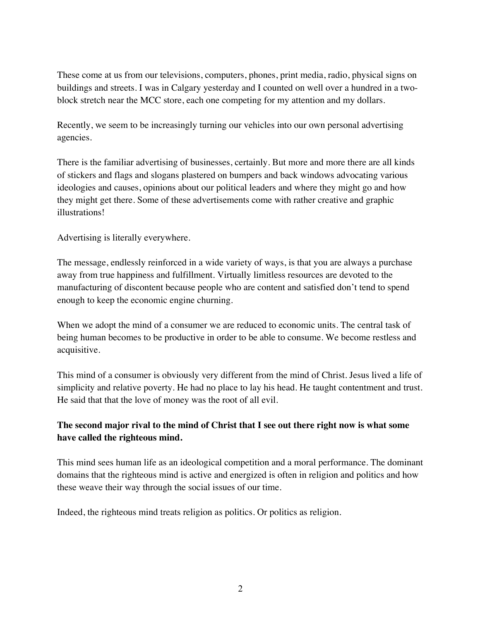These come at us from our televisions, computers, phones, print media, radio, physical signs on buildings and streets. I was in Calgary yesterday and I counted on well over a hundred in a twoblock stretch near the MCC store, each one competing for my attention and my dollars.

Recently, we seem to be increasingly turning our vehicles into our own personal advertising agencies.

There is the familiar advertising of businesses, certainly. But more and more there are all kinds of stickers and flags and slogans plastered on bumpers and back windows advocating various ideologies and causes, opinions about our political leaders and where they might go and how they might get there. Some of these advertisements come with rather creative and graphic illustrations!

Advertising is literally everywhere.

The message, endlessly reinforced in a wide variety of ways, is that you are always a purchase away from true happiness and fulfillment. Virtually limitless resources are devoted to the manufacturing of discontent because people who are content and satisfied don't tend to spend enough to keep the economic engine churning.

When we adopt the mind of a consumer we are reduced to economic units. The central task of being human becomes to be productive in order to be able to consume. We become restless and acquisitive.

This mind of a consumer is obviously very different from the mind of Christ. Jesus lived a life of simplicity and relative poverty. He had no place to lay his head. He taught contentment and trust. He said that that the love of money was the root of all evil.

## **The second major rival to the mind of Christ that I see out there right now is what some have called the righteous mind.**

This mind sees human life as an ideological competition and a moral performance. The dominant domains that the righteous mind is active and energized is often in religion and politics and how these weave their way through the social issues of our time.

Indeed, the righteous mind treats religion as politics. Or politics as religion.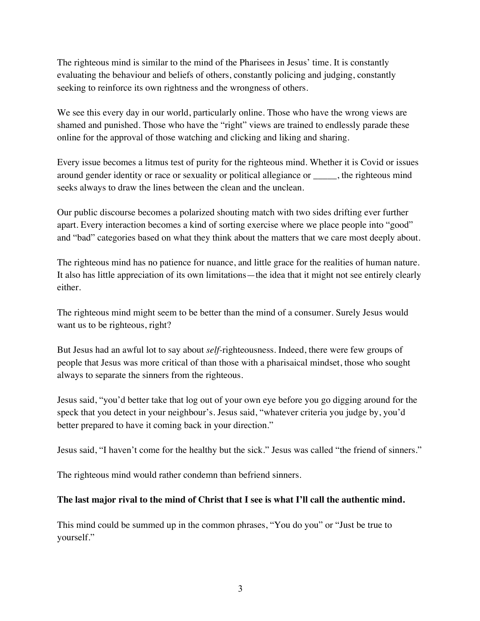The righteous mind is similar to the mind of the Pharisees in Jesus' time. It is constantly evaluating the behaviour and beliefs of others, constantly policing and judging, constantly seeking to reinforce its own rightness and the wrongness of others.

We see this every day in our world, particularly online. Those who have the wrong views are shamed and punished. Those who have the "right" views are trained to endlessly parade these online for the approval of those watching and clicking and liking and sharing.

Every issue becomes a litmus test of purity for the righteous mind. Whether it is Covid or issues around gender identity or race or sexuality or political allegiance or \_\_\_\_\_, the righteous mind seeks always to draw the lines between the clean and the unclean.

Our public discourse becomes a polarized shouting match with two sides drifting ever further apart. Every interaction becomes a kind of sorting exercise where we place people into "good" and "bad" categories based on what they think about the matters that we care most deeply about.

The righteous mind has no patience for nuance, and little grace for the realities of human nature. It also has little appreciation of its own limitations—the idea that it might not see entirely clearly either.

The righteous mind might seem to be better than the mind of a consumer. Surely Jesus would want us to be righteous, right?

But Jesus had an awful lot to say about *self-*righteousness. Indeed, there were few groups of people that Jesus was more critical of than those with a pharisaical mindset, those who sought always to separate the sinners from the righteous.

Jesus said, "you'd better take that log out of your own eye before you go digging around for the speck that you detect in your neighbour's. Jesus said, "whatever criteria you judge by, you'd better prepared to have it coming back in your direction."

Jesus said, "I haven't come for the healthy but the sick." Jesus was called "the friend of sinners."

The righteous mind would rather condemn than befriend sinners.

### **The last major rival to the mind of Christ that I see is what I'll call the authentic mind.**

This mind could be summed up in the common phrases, "You do you" or "Just be true to yourself."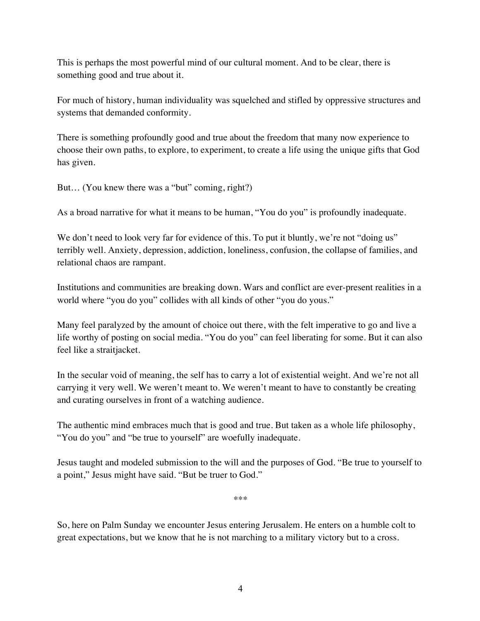This is perhaps the most powerful mind of our cultural moment. And to be clear, there is something good and true about it.

For much of history, human individuality was squelched and stifled by oppressive structures and systems that demanded conformity.

There is something profoundly good and true about the freedom that many now experience to choose their own paths, to explore, to experiment, to create a life using the unique gifts that God has given.

But… (You knew there was a "but" coming, right?)

As a broad narrative for what it means to be human, "You do you" is profoundly inadequate.

We don't need to look very far for evidence of this. To put it bluntly, we're not "doing us" terribly well. Anxiety, depression, addiction, loneliness, confusion, the collapse of families, and relational chaos are rampant.

Institutions and communities are breaking down. Wars and conflict are ever-present realities in a world where "you do you" collides with all kinds of other "you do yous."

Many feel paralyzed by the amount of choice out there, with the felt imperative to go and live a life worthy of posting on social media. "You do you" can feel liberating for some. But it can also feel like a straitjacket.

In the secular void of meaning, the self has to carry a lot of existential weight. And we're not all carrying it very well. We weren't meant to. We weren't meant to have to constantly be creating and curating ourselves in front of a watching audience.

The authentic mind embraces much that is good and true. But taken as a whole life philosophy, "You do you" and "be true to yourself" are woefully inadequate.

Jesus taught and modeled submission to the will and the purposes of God. "Be true to yourself to a point," Jesus might have said. "But be truer to God."

\*\*\*

So, here on Palm Sunday we encounter Jesus entering Jerusalem. He enters on a humble colt to great expectations, but we know that he is not marching to a military victory but to a cross.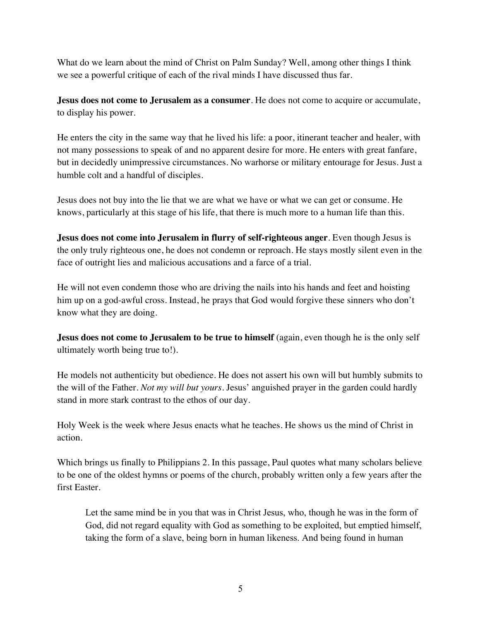What do we learn about the mind of Christ on Palm Sunday? Well, among other things I think we see a powerful critique of each of the rival minds I have discussed thus far.

**Jesus does not come to Jerusalem as a consumer**. He does not come to acquire or accumulate, to display his power.

He enters the city in the same way that he lived his life: a poor, itinerant teacher and healer, with not many possessions to speak of and no apparent desire for more. He enters with great fanfare, but in decidedly unimpressive circumstances. No warhorse or military entourage for Jesus. Just a humble colt and a handful of disciples.

Jesus does not buy into the lie that we are what we have or what we can get or consume. He knows, particularly at this stage of his life, that there is much more to a human life than this.

**Jesus does not come into Jerusalem in flurry of self-righteous anger**. Even though Jesus is the only truly righteous one, he does not condemn or reproach. He stays mostly silent even in the face of outright lies and malicious accusations and a farce of a trial.

He will not even condemn those who are driving the nails into his hands and feet and hoisting him up on a god-awful cross. Instead, he prays that God would forgive these sinners who don't know what they are doing.

**Jesus does not come to Jerusalem to be true to himself** (again, even though he is the only self ultimately worth being true to!).

He models not authenticity but obedience. He does not assert his own will but humbly submits to the will of the Father. *Not my will but yours*. Jesus' anguished prayer in the garden could hardly stand in more stark contrast to the ethos of our day.

Holy Week is the week where Jesus enacts what he teaches. He shows us the mind of Christ in action.

Which brings us finally to Philippians 2. In this passage, Paul quotes what many scholars believe to be one of the oldest hymns or poems of the church, probably written only a few years after the first Easter.

Let the same mind be in you that was in Christ Jesus, who, though he was in the form of God, did not regard equality with God as something to be exploited, but emptied himself, taking the form of a slave, being born in human likeness. And being found in human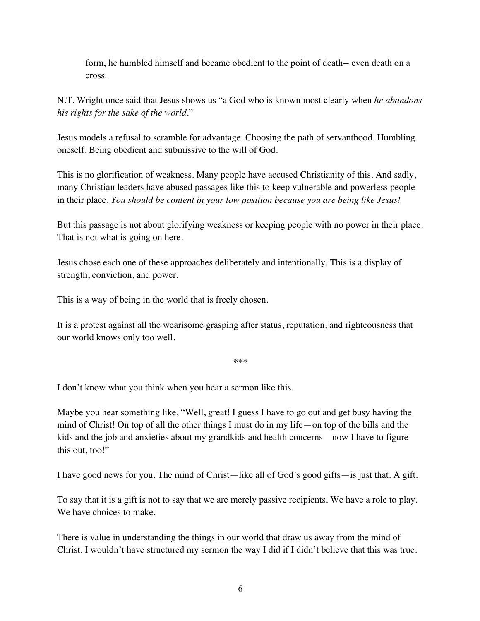form, he humbled himself and became obedient to the point of death-- even death on a cross.

N.T. Wright once said that Jesus shows us "a God who is known most clearly when *he abandons his rights for the sake of the world*."

Jesus models a refusal to scramble for advantage. Choosing the path of servanthood. Humbling oneself. Being obedient and submissive to the will of God.

This is no glorification of weakness. Many people have accused Christianity of this. And sadly, many Christian leaders have abused passages like this to keep vulnerable and powerless people in their place. *You should be content in your low position because you are being like Jesus!*

But this passage is not about glorifying weakness or keeping people with no power in their place. That is not what is going on here.

Jesus chose each one of these approaches deliberately and intentionally. This is a display of strength, conviction, and power.

This is a way of being in the world that is freely chosen.

It is a protest against all the wearisome grasping after status, reputation, and righteousness that our world knows only too well.

\*\*\*

I don't know what you think when you hear a sermon like this.

Maybe you hear something like, "Well, great! I guess I have to go out and get busy having the mind of Christ! On top of all the other things I must do in my life—on top of the bills and the kids and the job and anxieties about my grandkids and health concerns—now I have to figure this out, too!"

I have good news for you. The mind of Christ—like all of God's good gifts—is just that. A gift.

To say that it is a gift is not to say that we are merely passive recipients. We have a role to play. We have choices to make.

There is value in understanding the things in our world that draw us away from the mind of Christ. I wouldn't have structured my sermon the way I did if I didn't believe that this was true.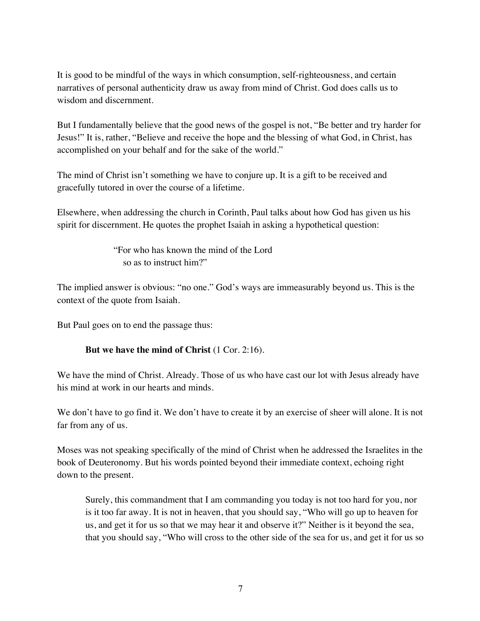It is good to be mindful of the ways in which consumption, self-righteousness, and certain narratives of personal authenticity draw us away from mind of Christ. God does calls us to wisdom and discernment.

But I fundamentally believe that the good news of the gospel is not, "Be better and try harder for Jesus!" It is, rather, "Believe and receive the hope and the blessing of what God, in Christ, has accomplished on your behalf and for the sake of the world."

The mind of Christ isn't something we have to conjure up. It is a gift to be received and gracefully tutored in over the course of a lifetime.

Elsewhere, when addressing the church in Corinth, Paul talks about how God has given us his spirit for discernment. He quotes the prophet Isaiah in asking a hypothetical question:

> "For who has known the mind of the Lord so as to instruct him?"

The implied answer is obvious: "no one." God's ways are immeasurably beyond us. This is the context of the quote from Isaiah.

But Paul goes on to end the passage thus:

### **But we have the mind of Christ** (1 Cor. 2:16).

We have the mind of Christ. Already. Those of us who have cast our lot with Jesus already have his mind at work in our hearts and minds.

We don't have to go find it. We don't have to create it by an exercise of sheer will alone. It is not far from any of us.

Moses was not speaking specifically of the mind of Christ when he addressed the Israelites in the book of Deuteronomy. But his words pointed beyond their immediate context, echoing right down to the present.

Surely, this commandment that I am commanding you today is not too hard for you, nor is it too far away. It is not in heaven, that you should say, "Who will go up to heaven for us, and get it for us so that we may hear it and observe it?" Neither is it beyond the sea, that you should say, "Who will cross to the other side of the sea for us, and get it for us so